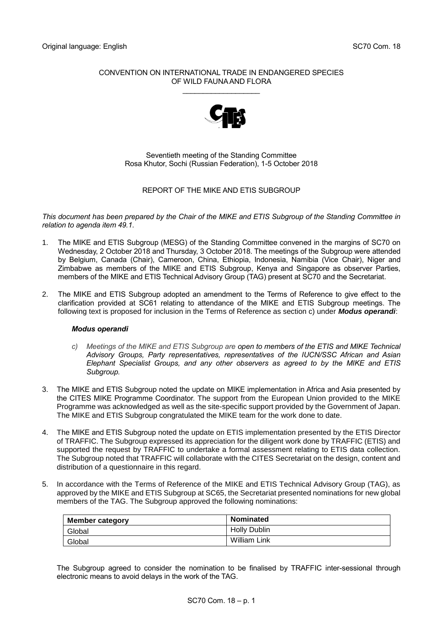## CONVENTION ON INTERNATIONAL TRADE IN ENDANGERED SPECIES OF WILD FAUNA AND FLORA

\_\_\_\_\_\_\_\_\_\_\_\_\_\_\_\_\_\_\_



Seventieth meeting of the Standing Committee Rosa Khutor, Sochi (Russian Federation), 1-5 October 2018

## REPORT OF THE MIKE AND ETIS SUBGROUP

*This document has been prepared by the Chair of the MIKE and ETIS Subgroup of the Standing Committee in relation to agenda item 49.1.*

- 1. The MIKE and ETIS Subgroup (MESG) of the Standing Committee convened in the margins of SC70 on Wednesday, 2 October 2018 and Thursday, 3 October 2018. The meetings of the Subgroup were attended by Belgium, Canada (Chair), Cameroon, China, Ethiopia, Indonesia, Namibia (Vice Chair), Niger and Zimbabwe as members of the MIKE and ETIS Subgroup, Kenya and Singapore as observer Parties, members of the MIKE and ETIS Technical Advisory Group (TAG) present at SC70 and the Secretariat.
- 2. The MIKE and ETIS Subgroup adopted an amendment to the Terms of Reference to give effect to the clarification provided at SC61 relating to attendance of the MIKE and ETIS Subgroup meetings. The following text is proposed for inclusion in the Terms of Reference as section c) under *Modus operandi*:

## *Modus operandi*

- *c) Meetings of the MIKE and ETIS Subgroup are open to members of the ETIS and MIKE Technical Advisory Groups, Party representatives, representatives of the IUCN/SSC African and Asian Elephant Specialist Groups, and any other observers as agreed to by the MIKE and ETIS Subgroup.*
- 3. The MIKE and ETIS Subgroup noted the update on MIKE implementation in Africa and Asia presented by the CITES MIKE Programme Coordinator. The support from the European Union provided to the MIKE Programme was acknowledged as well as the site-specific support provided by the Government of Japan. The MIKE and ETIS Subgroup congratulated the MIKE team for the work done to date.
- 4. The MIKE and ETIS Subgroup noted the update on ETIS implementation presented by the ETIS Director of TRAFFIC. The Subgroup expressed its appreciation for the diligent work done by TRAFFIC (ETIS) and supported the request by TRAFFIC to undertake a formal assessment relating to ETIS data collection. The Subgroup noted that TRAFFIC will collaborate with the CITES Secretariat on the design, content and distribution of a questionnaire in this regard.
- 5. In accordance with the Terms of Reference of the MIKE and ETIS Technical Advisory Group (TAG), as approved by the MIKE and ETIS Subgroup at SC65, the Secretariat presented nominations for new global members of the TAG. The Subgroup approved the following nominations:

| <b>Member category</b> | <b>Nominated</b>    |
|------------------------|---------------------|
| Global                 | <b>Holly Dublin</b> |
| Global                 | William Link        |

The Subgroup agreed to consider the nomination to be finalised by TRAFFIC inter-sessional through electronic means to avoid delays in the work of the TAG.